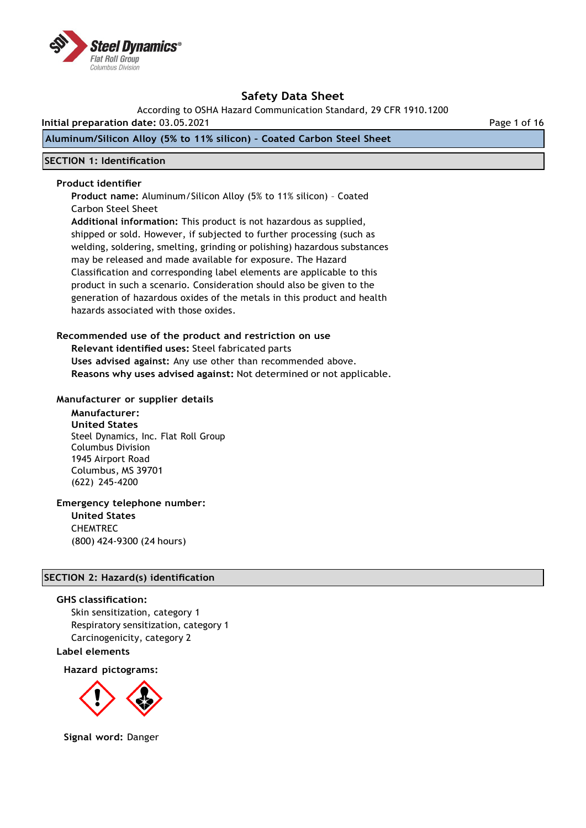

According to OSHA Hazard Communication Standard, 29 CFR 1910.1200

**Initial preparation date:** 03.05.2021 Page 1 of 16

## **Aluminum/Silicon Alloy (5% to 11% silicon) – Coated Carbon Steel Sheet**

### **SECTION 1: Identification**

#### **Product identifier**

**Product name:** Aluminum/Silicon Alloy (5% to 11% silicon) – Coated Carbon Steel Sheet

**Additional information:** This product is not hazardous as supplied, shipped or sold. However, if subjected to further processing (such as welding, soldering, smelting, grinding or polishing) hazardous substances may be released and made available for exposure. The Hazard Classification and corresponding label elements are applicable to this product in such a scenario. Consideration should also be given to the generation of hazardous oxides of the metals in this product and health hazards associated with those oxides.

#### **Recommended use of the product and restriction on use**

**Relevant identified uses:** Steel fabricated parts **Uses advised against:** Any use other than recommended above. **Reasons why uses advised against:** Not determined or not applicable.

#### **Manufacturer or supplier details**

**Manufacturer: United States** Steel Dynamics, Inc. Flat Roll Group Columbus Division 1945 Airport Road Columbus, MS 39701 (622) 245-4200

## **Emergency telephone number:**

**United States** CHEMTREC (800) 424-9300 (24 hours)

## **SECTION 2: Hazard(s) identification**

#### **GHS classification:**

Skin sensitization, category 1 Respiratory sensitization, category 1 Carcinogenicity, category 2

### **Label elements**

**Hazard pictograms:**



**Signal word:** Danger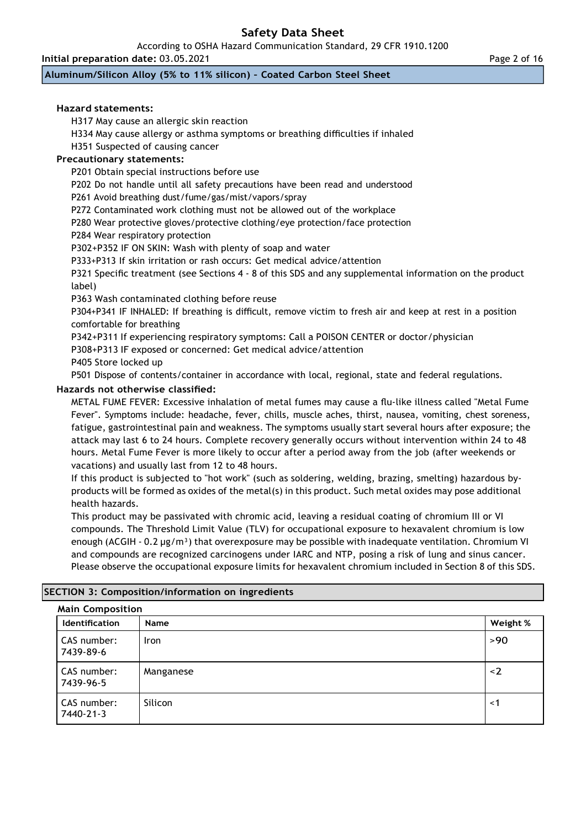According to OSHA Hazard Communication Standard, 29 CFR 1910.1200

**Initial preparation date:** 03.05.2021

**Aluminum/Silicon Alloy (5% to 11% silicon) – Coated Carbon Steel Sheet**

### **Hazard statements:**

H317 May cause an allergic skin reaction

H334 May cause allergy or asthma symptoms or breathing difficulties if inhaled

H351 Suspected of causing cancer

## **Precautionary statements:**

P201 Obtain special instructions before use

P202 Do not handle until all safety precautions have been read and understood

P261 Avoid breathing dust/fume/gas/mist/vapors/spray

P272 Contaminated work clothing must not be allowed out of the workplace

P280 Wear protective gloves/protective clothing/eye protection/face protection

P284 Wear respiratory protection

P302+P352 IF ON SKIN: Wash with plenty of soap and water

P333+P313 If skin irritation or rash occurs: Get medical advice/attention

P321 Specific treatment (see Sections 4 - 8 of this SDS and any supplemental information on the product label)

P363 Wash contaminated clothing before reuse

P304+P341 IF INHALED: If breathing is difficult, remove victim to fresh air and keep at rest in a position comfortable for breathing

P342+P311 If experiencing respiratory symptoms: Call a POISON CENTER or doctor/physician

P308+P313 IF exposed or concerned: Get medical advice/attention

P405 Store locked up

P501 Dispose of contents/container in accordance with local, regional, state and federal regulations.

### **Hazards not otherwise classified:**

METAL FUME FEVER: Excessive inhalation of metal fumes may cause a flu-like illness called "Metal Fume Fever". Symptoms include: headache, fever, chills, muscle aches, thirst, nausea, vomiting, chest soreness, fatigue, gastrointestinal pain and weakness. The symptoms usually start several hours after exposure; the attack may last 6 to 24 hours. Complete recovery generally occurs without intervention within 24 to 48 hours. Metal Fume Fever is more likely to occur after a period away from the job (after weekends or vacations) and usually last from 12 to 48 hours.

If this product is subjected to "hot work" (such as soldering, welding, brazing, smelting) hazardous byproducts will be formed as oxides of the metal(s) in this product. Such metal oxides may pose additional health hazards.

This product may be passivated with chromic acid, leaving a residual coating of chromium III or VI compounds. The Threshold Limit Value (TLV) for occupational exposure to hexavalent chromium is low enough (ACGIH - 0.2  $\mu$ g/m<sup>3</sup>) that overexposure may be possible with inadequate ventilation. Chromium VI and compounds are recognized carcinogens under IARC and NTP, posing a risk of lung and sinus cancer. Please observe the occupational exposure limits for hexavalent chromium included in Section 8 of this SDS.

| <b>Main Composition</b>  |             |          |
|--------------------------|-------------|----------|
| <b>Identification</b>    | <b>Name</b> | Weight % |
| CAS number:<br>7439-89-6 | <b>Iron</b> | >90      |
| CAS number:<br>7439-96-5 | Manganese   | $\leq$ 2 |
| CAS number:<br>7440-21-3 | Silicon     | $\leq$ 1 |

## **SECTION 3: Composition/information on ingredients**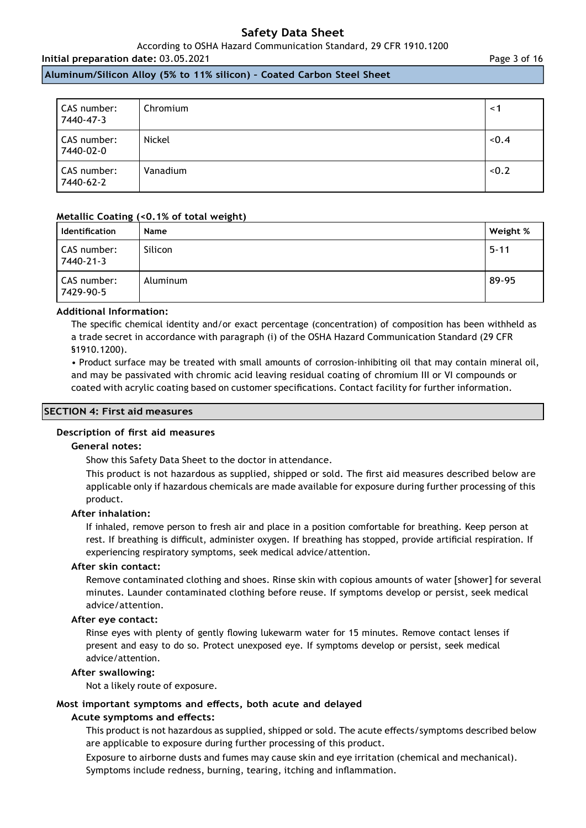According to OSHA Hazard Communication Standard, 29 CFR 1910.1200

## **Initial preparation date:** 03.05.2021

**Aluminum/Silicon Alloy (5% to 11% silicon) – Coated Carbon Steel Sheet**

| CAS number:<br>7440-47-3 | Chromium | $\leq$ 1 |
|--------------------------|----------|----------|
| CAS number:<br>7440-02-0 | Nickel   | < 0.4    |
| CAS number:<br>7440-62-2 | Vanadium | < 0.2    |

#### **Metallic Coating (<0.1% of total weight)**

| <b>Identification</b>    | <b>Name</b> | Weight % |
|--------------------------|-------------|----------|
| CAS number:<br>7440-21-3 | Silicon     | $5 - 11$ |
| CAS number:<br>7429-90-5 | Aluminum    | 89-95    |

#### **Additional Information:**

The specific chemical identity and/or exact percentage (concentration) of composition has been withheld as a trade secret in accordance with paragraph (i) of the OSHA Hazard Communication Standard (29 CFR §1910.1200).

• Product surface may be treated with small amounts of corrosion-inhibiting oil that may contain mineral oil, and may be passivated with chromic acid leaving residual coating of chromium III or VI compounds or coated with acrylic coating based on customer specifications. Contact facility for further information.

#### **SECTION 4: First aid measures**

#### **Description of first aid measures**

#### **General notes:**

Show this Safety Data Sheet to the doctor in attendance.

This product is not hazardous as supplied, shipped or sold. The first aid measures described below are applicable only if hazardous chemicals are made available for exposure during further processing of this product.

#### **After inhalation:**

If inhaled, remove person to fresh air and place in a position comfortable for breathing. Keep person at rest. If breathing is difficult, administer oxygen. If breathing has stopped, provide artificial respiration. If experiencing respiratory symptoms, seek medical advice/attention.

#### **After skin contact:**

Remove contaminated clothing and shoes. Rinse skin with copious amounts of water [shower] for several minutes. Launder contaminated clothing before reuse. If symptoms develop or persist, seek medical advice/attention.

#### **After eye contact:**

Rinse eyes with plenty of gently flowing lukewarm water for 15 minutes. Remove contact lenses if present and easy to do so. Protect unexposed eye. If symptoms develop or persist, seek medical advice/attention.

#### **After swallowing:**

Not a likely route of exposure.

### **Most important symptoms and effects, both acute and delayed**

#### **Acute symptoms and effects:**

This product is not hazardous as supplied, shipped or sold. The acute effects/symptoms described below are applicable to exposure during further processing of this product.

Exposure to airborne dusts and fumes may cause skin and eye irritation (chemical and mechanical). Symptoms include redness, burning, tearing, itching and inflammation.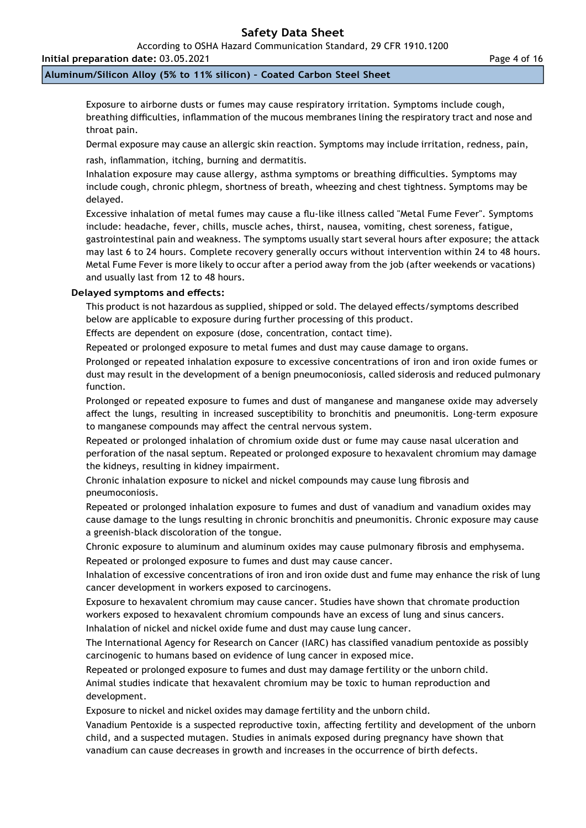According to OSHA Hazard Communication Standard, 29 CFR 1910.1200

## **Initial preparation date:** 03.05.2021

## **Aluminum/Silicon Alloy (5% to 11% silicon) – Coated Carbon Steel Sheet**

Exposure to airborne dusts or fumes may cause respiratory irritation. Symptoms include cough, breathing difficulties, inflammation of the mucous membranes lining the respiratory tract and nose and throat pain.

Dermal exposure may cause an allergic skin reaction. Symptoms may include irritation, redness, pain,

rash, inflammation, itching, burning and dermatitis.

Inhalation exposure may cause allergy, asthma symptoms or breathing difficulties. Symptoms may include cough, chronic phlegm, shortness of breath, wheezing and chest tightness. Symptoms may be delayed.

Excessive inhalation of metal fumes may cause a flu-like illness called "Metal Fume Fever". Symptoms include: headache, fever, chills, muscle aches, thirst, nausea, vomiting, chest soreness, fatigue, gastrointestinal pain and weakness. The symptoms usually start several hours after exposure; the attack may last 6 to 24 hours. Complete recovery generally occurs without intervention within 24 to 48 hours. Metal Fume Fever is more likely to occur after a period away from the job (after weekends or vacations) and usually last from 12 to 48 hours.

### **Delayed symptoms and effects:**

This product is not hazardous as supplied, shipped or sold. The delayed effects/symptoms described below are applicable to exposure during further processing of this product.

Effects are dependent on exposure (dose, concentration, contact time).

Repeated or prolonged exposure to metal fumes and dust may cause damage to organs.

Prolonged or repeated inhalation exposure to excessive concentrations of iron and iron oxide fumes or dust may result in the development of a benign pneumoconiosis, called siderosis and reduced pulmonary function.

Prolonged or repeated exposure to fumes and dust of manganese and manganese oxide may adversely affect the lungs, resulting in increased susceptibility to bronchitis and pneumonitis. Long-term exposure to manganese compounds may affect the central nervous system.

Repeated or prolonged inhalation of chromium oxide dust or fume may cause nasal ulceration and perforation of the nasal septum. Repeated or prolonged exposure to hexavalent chromium may damage the kidneys, resulting in kidney impairment.

Chronic inhalation exposure to nickel and nickel compounds may cause lung fibrosis and pneumoconiosis.

Repeated or prolonged inhalation exposure to fumes and dust of vanadium and vanadium oxides may cause damage to the lungs resulting in chronic bronchitis and pneumonitis. Chronic exposure may cause a greenish-black discoloration of the tongue.

Chronic exposure to aluminum and aluminum oxides may cause pulmonary fibrosis and emphysema. Repeated or prolonged exposure to fumes and dust may cause cancer.

Inhalation of excessive concentrations of iron and iron oxide dust and fume may enhance the risk of lung cancer development in workers exposed to carcinogens.

Exposure to hexavalent chromium may cause cancer. Studies have shown that chromate production workers exposed to hexavalent chromium compounds have an excess of lung and sinus cancers.

Inhalation of nickel and nickel oxide fume and dust may cause lung cancer.

The International Agency for Research on Cancer (IARC) has classified vanadium pentoxide as possibly carcinogenic to humans based on evidence of lung cancer in exposed mice.

Repeated or prolonged exposure to fumes and dust may damage fertility or the unborn child. Animal studies indicate that hexavalent chromium may be toxic to human reproduction and development.

Exposure to nickel and nickel oxides may damage fertility and the unborn child.

Vanadium Pentoxide is a suspected reproductive toxin, affecting fertility and development of the unborn child, and a suspected mutagen. Studies in animals exposed during pregnancy have shown that vanadium can cause decreases in growth and increases in the occurrence of birth defects.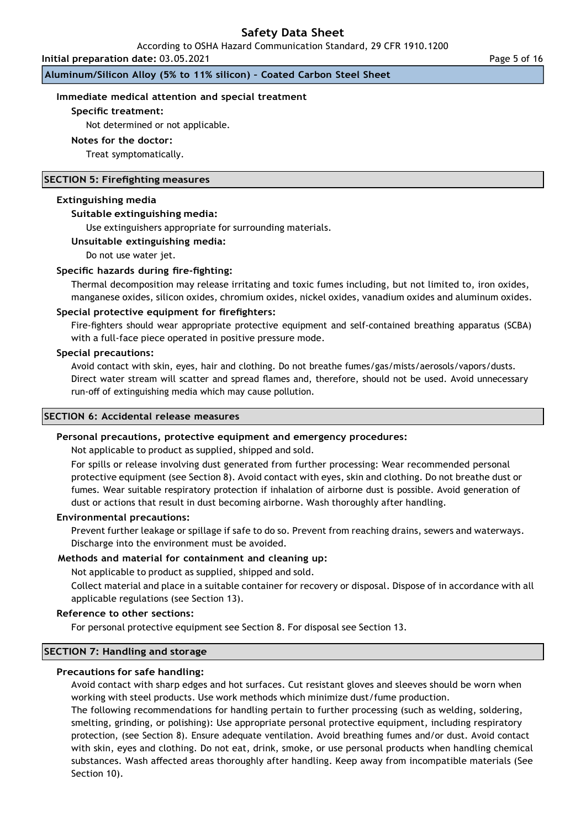According to OSHA Hazard Communication Standard, 29 CFR 1910.1200

**Initial preparation date:** 03.05.2021

**Aluminum/Silicon Alloy (5% to 11% silicon) – Coated Carbon Steel Sheet**

#### **Immediate medical attention and special treatment**

#### **Specific treatment:**

Not determined or not applicable.

#### **Notes for the doctor:**

Treat symptomatically.

#### **SECTION 5: Firefighting measures**

#### **Extinguishing media**

#### **Suitable extinguishing media:**

Use extinguishers appropriate for surrounding materials.

#### **Unsuitable extinguishing media:**

Do not use water jet.

#### **Specific hazards during fire-fighting:**

Thermal decomposition may release irritating and toxic fumes including, but not limited to, iron oxides, manganese oxides, silicon oxides, chromium oxides, nickel oxides, vanadium oxides and aluminum oxides.

#### **Special protective equipment for firefighters:**

Fire-fighters should wear appropriate protective equipment and self-contained breathing apparatus (SCBA) with a full-face piece operated in positive pressure mode.

#### **Special precautions:**

Avoid contact with skin, eyes, hair and clothing. Do not breathe fumes/gas/mists/aerosols/vapors/dusts. Direct water stream will scatter and spread flames and, therefore, should not be used. Avoid unnecessary run-off of extinguishing media which may cause pollution.

#### **SECTION 6: Accidental release measures**

#### **Personal precautions, protective equipment and emergency procedures:**

Not applicable to product as supplied, shipped and sold.

For spills or release involving dust generated from further processing: Wear recommended personal protective equipment (see Section 8). Avoid contact with eyes, skin and clothing. Do not breathe dust or fumes. Wear suitable respiratory protection if inhalation of airborne dust is possible. Avoid generation of dust or actions that result in dust becoming airborne. Wash thoroughly after handling.

#### **Environmental precautions:**

Prevent further leakage or spillage if safe to do so. Prevent from reaching drains, sewers and waterways. Discharge into the environment must be avoided.

#### **Methods and material for containment and cleaning up:**

Not applicable to product as supplied, shipped and sold.

Collect material and place in a suitable container for recovery or disposal. Dispose of in accordance with all applicable regulations (see Section 13).

#### **Reference to other sections:**

For personal protective equipment see Section 8. For disposal see Section 13.

### **SECTION 7: Handling and storage**

## **Precautions for safe handling:**

Avoid contact with sharp edges and hot surfaces. Cut resistant gloves and sleeves should be worn when working with steel products. Use work methods which minimize dust/fume production.

The following recommendations for handling pertain to further processing (such as welding, soldering, smelting, grinding, or polishing): Use appropriate personal protective equipment, including respiratory protection, (see Section 8). Ensure adequate ventilation. Avoid breathing fumes and/or dust. Avoid contact with skin, eyes and clothing. Do not eat, drink, smoke, or use personal products when handling chemical substances. Wash affected areas thoroughly after handling. Keep away from incompatible materials (See Section 10).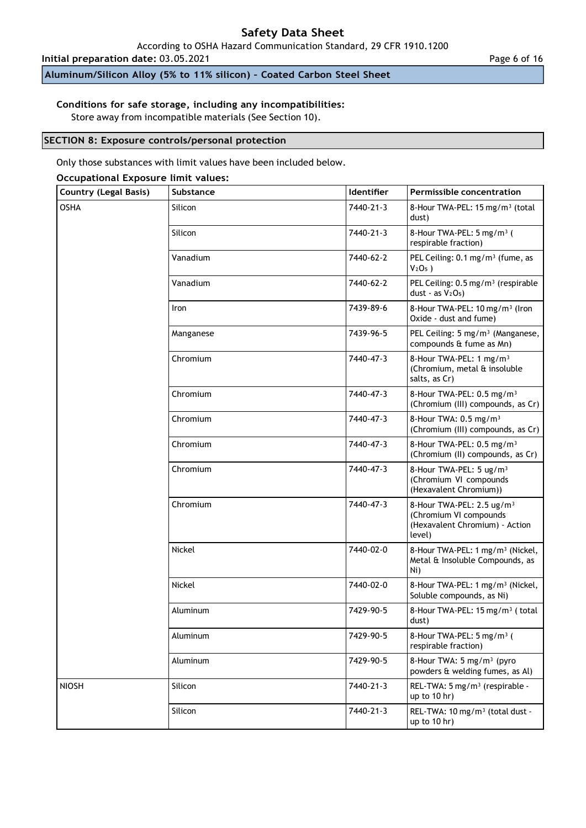According to OSHA Hazard Communication Standard, 29 CFR 1910.1200

**Initial preparation date:** 03.05.2021

**Aluminum/Silicon Alloy (5% to 11% silicon) – Coated Carbon Steel Sheet**

## **Conditions for safe storage, including any incompatibilities:**

Store away from incompatible materials (See Section 10).

#### **SECTION 8: Exposure controls/personal protection**

Only those substances with limit values have been included below.

#### **Occupational Exposure limit values:**

| <b>Country (Legal Basis)</b> | Substance | Identifier | <b>Permissible concentration</b>                                                                            |
|------------------------------|-----------|------------|-------------------------------------------------------------------------------------------------------------|
| <b>OSHA</b>                  | Silicon   | 7440-21-3  | 8-Hour TWA-PEL: 15 mg/m <sup>3</sup> (total<br>dust)                                                        |
|                              | Silicon   | 7440-21-3  | 8-Hour TWA-PEL: 5 mg/m <sup>3</sup> (<br>respirable fraction)                                               |
|                              | Vanadium  | 7440-62-2  | PEL Ceiling: 0.1 mg/m <sup>3</sup> (fume, as<br>$V2O5$ )                                                    |
|                              | Vanadium  | 7440-62-2  | PEL Ceiling: 0.5 mg/m <sup>3</sup> (respirable<br>dust - as $V2O5$ )                                        |
|                              | Iron      | 7439-89-6  | 8-Hour TWA-PEL: 10 mg/m <sup>3</sup> (Iron<br>Oxide - dust and fume)                                        |
|                              | Manganese | 7439-96-5  | PEL Ceiling: 5 mg/m <sup>3</sup> (Manganese,<br>compounds & fume as Mn)                                     |
|                              | Chromium  | 7440-47-3  | 8-Hour TWA-PEL: 1 mg/m <sup>3</sup><br>(Chromium, metal & insoluble<br>salts, as Cr)                        |
|                              | Chromium  | 7440-47-3  | 8-Hour TWA-PEL: 0.5 mg/m <sup>3</sup><br>(Chromium (III) compounds, as Cr)                                  |
|                              | Chromium  | 7440-47-3  | 8-Hour TWA: 0.5 mg/m <sup>3</sup><br>(Chromium (III) compounds, as Cr)                                      |
|                              | Chromium  | 7440-47-3  | 8-Hour TWA-PEL: 0.5 mg/m <sup>3</sup><br>(Chromium (II) compounds, as Cr)                                   |
|                              | Chromium  | 7440-47-3  | 8-Hour TWA-PEL: 5 ug/m <sup>3</sup><br>(Chromium VI compounds<br>(Hexavalent Chromium))                     |
|                              | Chromium  | 7440-47-3  | 8-Hour TWA-PEL: 2.5 ug/m <sup>3</sup><br>(Chromium VI compounds<br>(Hexavalent Chromium) - Action<br>level) |
|                              | Nickel    | 7440-02-0  | 8-Hour TWA-PEL: 1 mg/m <sup>3</sup> (Nickel,<br>Metal & Insoluble Compounds, as<br>Ni)                      |
|                              | Nickel    | 7440-02-0  | 8-Hour TWA-PEL: 1 mg/m <sup>3</sup> (Nickel,<br>Soluble compounds, as Ni)                                   |
|                              | Aluminum  | 7429-90-5  | 8-Hour TWA-PEL: 15 mg/m <sup>3</sup> (total<br>dust)                                                        |
|                              | Aluminum  | 7429-90-5  | 8-Hour TWA-PEL: 5 mg/m <sup>3</sup> (<br>respirable fraction)                                               |
|                              | Aluminum  | 7429-90-5  | 8-Hour TWA: 5 mg/m <sup>3</sup> (pyro<br>powders & welding fumes, as Al)                                    |
| <b>NIOSH</b>                 | Silicon   | 7440-21-3  | REL-TWA: 5 mg/m <sup>3</sup> (respirable -<br>up to $10$ hr)                                                |
|                              | Silicon   | 7440-21-3  | REL-TWA: 10 mg/m <sup>3</sup> (total dust -<br>up to $10$ hr)                                               |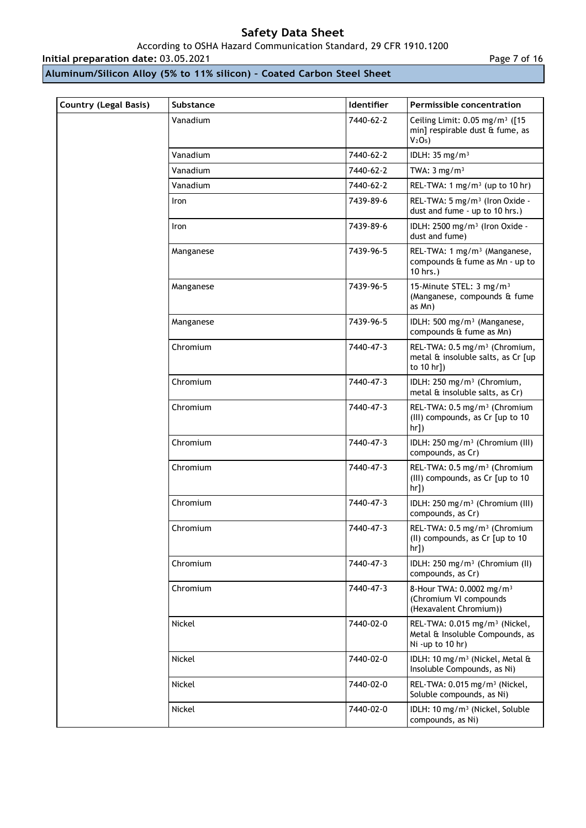## According to OSHA Hazard Communication Standard, 29 CFR 1910.1200

**Initial preparation date:** 03.05.2021 **Page 7 of 16** 

**Aluminum/Silicon Alloy (5% to 11% silicon) – Coated Carbon Steel Sheet**

| Country (Legal Basis) | Substance | <b>Identifier</b> | <b>Permissible concentration</b>                                                                               |
|-----------------------|-----------|-------------------|----------------------------------------------------------------------------------------------------------------|
|                       | Vanadium  | 7440-62-2         | Ceiling Limit: 0.05 mg/m <sup>3</sup> ([15<br>min] respirable dust & fume, as<br>V <sub>2</sub> O <sub>5</sub> |
|                       | Vanadium  | 7440-62-2         | IDLH: $35 \text{ mg/m}^3$                                                                                      |
|                       | Vanadium  | 7440-62-2         | TWA: $3 \text{ mg/m}^3$                                                                                        |
|                       | Vanadium  | 7440-62-2         | REL-TWA: 1 mg/m <sup>3</sup> (up to 10 hr)                                                                     |
|                       | Iron      | 7439-89-6         | REL-TWA: 5 mg/m <sup>3</sup> (Iron Oxide -<br>dust and fume - up to 10 hrs.)                                   |
|                       | Iron      | 7439-89-6         | IDLH: 2500 mg/m <sup>3</sup> (Iron Oxide -<br>dust and fume)                                                   |
|                       | Manganese | 7439-96-5         | REL-TWA: 1 mg/m <sup>3</sup> (Manganese,<br>compounds & fume as Mn - up to<br>10 hrs.)                         |
|                       | Manganese | 7439-96-5         | 15-Minute STEL: 3 mg/m <sup>3</sup><br>(Manganese, compounds & fume<br>as Mn)                                  |
|                       | Manganese | 7439-96-5         | IDLH: 500 mg/m <sup>3</sup> (Manganese,<br>compounds & fume as Mn)                                             |
|                       | Chromium  | 7440-47-3         | REL-TWA: 0.5 mg/m <sup>3</sup> (Chromium,<br>metal & insoluble salts, as Cr [up<br>to 10 hr])                  |
|                       | Chromium  | 7440-47-3         | IDLH: 250 mg/m <sup>3</sup> (Chromium,<br>metal $\hat{a}$ insoluble salts, as $Cr$ )                           |
|                       | Chromium  | 7440-47-3         | REL-TWA: 0.5 mg/m <sup>3</sup> (Chromium<br>(III) compounds, as Cr [up to 10<br>hr]                            |
|                       | Chromium  | 7440-47-3         | IDLH: 250 mg/m <sup>3</sup> (Chromium (III)<br>compounds, as Cr)                                               |
|                       | Chromium  | 7440-47-3         | REL-TWA: 0.5 mg/m <sup>3</sup> (Chromium<br>(III) compounds, as Cr [up to 10<br>hr])                           |
|                       | Chromium  | 7440-47-3         | IDLH: 250 mg/m <sup>3</sup> (Chromium (III)<br>compounds, as Cr)                                               |
|                       | Chromium  | 7440-47-3         | REL-TWA: 0.5 mg/m <sup>3</sup> (Chromium<br>(II) compounds, as Cr [up to 10<br>$hr$ ])                         |
|                       | Chromium  | 7440-47-3         | IDLH: 250 mg/m <sup>3</sup> (Chromium (II)<br>compounds, as Cr)                                                |
|                       | Chromium  | 7440-47-3         | 8-Hour TWA: 0.0002 mg/m <sup>3</sup><br>(Chromium VI compounds<br>(Hexavalent Chromium))                       |
|                       | Nickel    | 7440-02-0         | REL-TWA: 0.015 mg/m <sup>3</sup> (Nickel,<br>Metal & Insoluble Compounds, as<br>Ni -up to 10 hr)               |
|                       | Nickel    | 7440-02-0         | IDLH: 10 mg/m <sup>3</sup> (Nickel, Metal &<br>Insoluble Compounds, as Ni)                                     |
|                       | Nickel    | 7440-02-0         | REL-TWA: 0.015 mg/m <sup>3</sup> (Nickel,<br>Soluble compounds, as Ni)                                         |
|                       | Nickel    | 7440-02-0         | IDLH: 10 mg/m <sup>3</sup> (Nickel, Soluble<br>compounds, as Ni)                                               |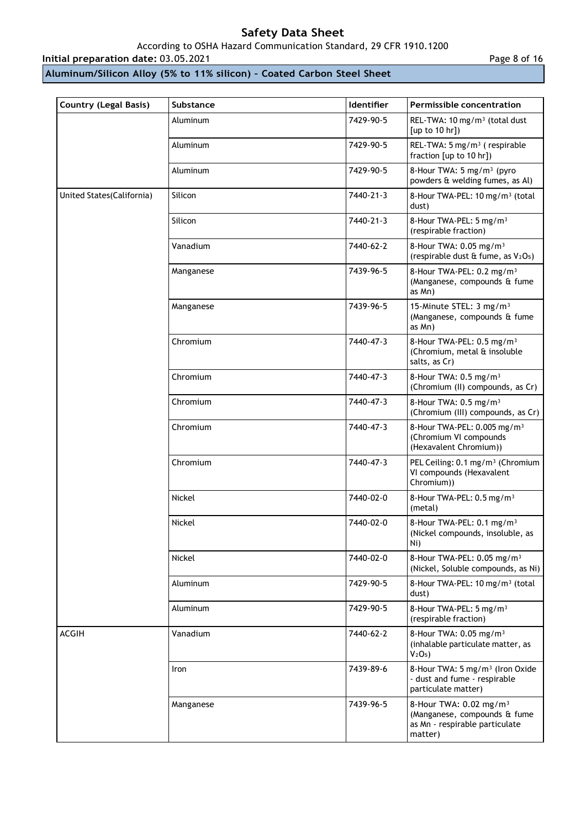## According to OSHA Hazard Communication Standard, 29 CFR 1910.1200

## **Initial preparation date: 03.05.2021**

## **Aluminum/Silicon Alloy (5% to 11% silicon) – Coated Carbon Steel Sheet**

| Page 8 of 16 |  |  |  |
|--------------|--|--|--|
|--------------|--|--|--|

| <b>Country (Legal Basis)</b> | Substance | Identifier | Permissible concentration                                                                                       |
|------------------------------|-----------|------------|-----------------------------------------------------------------------------------------------------------------|
|                              | Aluminum  | 7429-90-5  | REL-TWA: 10 mg/m <sup>3</sup> (total dust<br>[up to 10 hr]                                                      |
|                              | Aluminum  | 7429-90-5  | REL-TWA: 5 mg/m <sup>3</sup> (respirable<br>fraction [up to 10 hr])                                             |
|                              | Aluminum  | 7429-90-5  | 8-Hour TWA: 5 mg/m <sup>3</sup> (pyro<br>powders & welding fumes, as Al)                                        |
| United States (California)   | Silicon   | 7440-21-3  | 8-Hour TWA-PEL: 10 mg/m <sup>3</sup> (total<br>dust)                                                            |
|                              | Silicon   | 7440-21-3  | 8-Hour TWA-PEL: 5 mg/m <sup>3</sup><br>(respirable fraction)                                                    |
|                              | Vanadium  | 7440-62-2  | 8-Hour TWA: 0.05 mg/m <sup>3</sup><br>(respirable dust & fume, as V2O <sub>5</sub> )                            |
|                              | Manganese | 7439-96-5  | 8-Hour TWA-PEL: 0.2 mg/m <sup>3</sup><br>(Manganese, compounds & fume<br>as Mn)                                 |
|                              | Manganese | 7439-96-5  | 15-Minute STEL: 3 mg/m <sup>3</sup><br>(Manganese, compounds & fume<br>as Mn)                                   |
|                              | Chromium  | 7440-47-3  | 8-Hour TWA-PEL: 0.5 mg/m <sup>3</sup><br>(Chromium, metal & insoluble<br>salts, as Cr)                          |
|                              | Chromium  | 7440-47-3  | 8-Hour TWA: 0.5 mg/m <sup>3</sup><br>(Chromium (II) compounds, as Cr)                                           |
|                              | Chromium  | 7440-47-3  | 8-Hour TWA: 0.5 mg/m <sup>3</sup><br>(Chromium (III) compounds, as Cr)                                          |
|                              | Chromium  | 7440-47-3  | 8-Hour TWA-PEL: 0.005 mg/m <sup>3</sup><br>(Chromium VI compounds<br>(Hexavalent Chromium))                     |
|                              | Chromium  | 7440-47-3  | PEL Ceiling: 0.1 mg/m <sup>3</sup> (Chromium<br>VI compounds (Hexavalent<br>Chromium))                          |
|                              | Nickel    | 7440-02-0  | 8-Hour TWA-PEL: 0.5 mg/m <sup>3</sup><br>(metal)                                                                |
|                              | Nickel    | 7440-02-0  | 8-Hour TWA-PEL: 0.1 mg/m <sup>3</sup><br>(Nickel compounds, insoluble, as<br>Ni)                                |
|                              | Nickel    | 7440-02-0  | 8-Hour TWA-PEL: 0.05 mg/m <sup>3</sup><br>(Nickel, Soluble compounds, as Ni)                                    |
|                              | Aluminum  | 7429-90-5  | 8-Hour TWA-PEL: 10 mg/m <sup>3</sup> (total<br>dust)                                                            |
|                              | Aluminum  | 7429-90-5  | 8-Hour TWA-PEL: 5 mg/m <sup>3</sup><br>(respirable fraction)                                                    |
| <b>ACGIH</b>                 | Vanadium  | 7440-62-2  | 8-Hour TWA: 0.05 mg/m <sup>3</sup><br>(inhalable particulate matter, as<br>V <sub>2</sub> O <sub>5</sub>        |
|                              | Iron      | 7439-89-6  | 8-Hour TWA: 5 mg/m <sup>3</sup> (Iron Oxide<br>- dust and fume - respirable<br>particulate matter)              |
|                              | Manganese | 7439-96-5  | 8-Hour TWA: 0.02 mg/m <sup>3</sup><br>(Manganese, compounds & fume<br>as Mn - respirable particulate<br>matter) |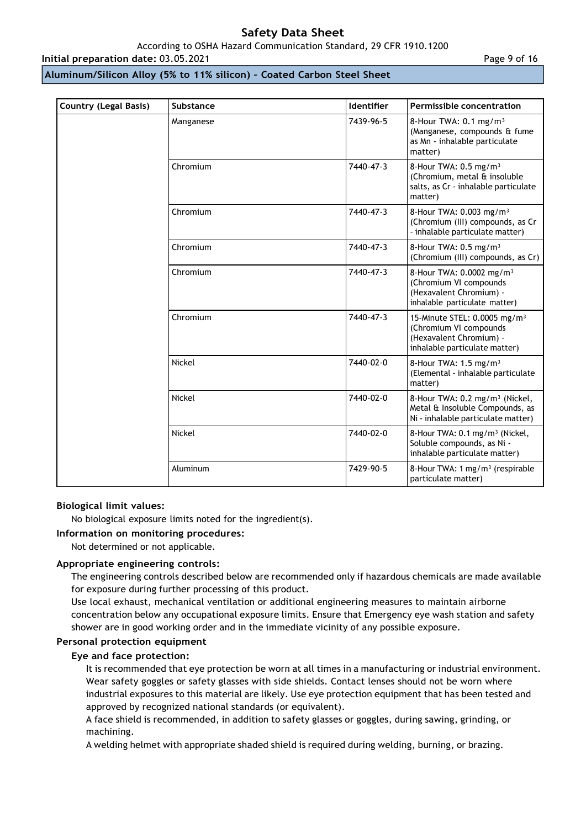#### According to OSHA Hazard Communication Standard, 29 CFR 1910.1200

**Initial preparation date:** 03.05.2021

Page 9 of 16

## **Aluminum/Silicon Alloy (5% to 11% silicon) – Coated Carbon Steel Sheet**

| <b>Country (Legal Basis)</b> | Substance     | Identifier | <b>Permissible concentration</b>                                                                                               |
|------------------------------|---------------|------------|--------------------------------------------------------------------------------------------------------------------------------|
|                              | Manganese     | 7439-96-5  | 8-Hour TWA: $0.1 \text{ mg/m}^3$<br>(Manganese, compounds & fume<br>as Mn - inhalable particulate<br>matter)                   |
|                              | Chromium      | 7440-47-3  | 8-Hour TWA: 0.5 mg/m <sup>3</sup><br>(Chromium, metal & insoluble<br>salts, as Cr - inhalable particulate<br>matter)           |
|                              | Chromium      | 7440-47-3  | 8-Hour TWA: 0.003 mg/m <sup>3</sup><br>(Chromium (III) compounds, as Cr<br>- inhalable particulate matter)                     |
|                              | Chromium      | 7440-47-3  | 8-Hour TWA: $0.5$ mg/m <sup>3</sup><br>(Chromium (III) compounds, as Cr)                                                       |
|                              | Chromium      | 7440-47-3  | 8-Hour TWA: 0.0002 mg/m <sup>3</sup><br>(Chromium VI compounds<br>(Hexavalent Chromium) -<br>inhalable particulate matter)     |
|                              | Chromium      | 7440-47-3  | 15-Minute STEL: 0.0005 mg/m <sup>3</sup><br>(Chromium VI compounds<br>(Hexavalent Chromium) -<br>inhalable particulate matter) |
|                              | <b>Nickel</b> | 7440-02-0  | 8-Hour TWA: $1.5 \text{ mg/m}^3$<br>(Elemental - inhalable particulate<br>matter)                                              |
|                              | Nickel        | 7440-02-0  | 8-Hour TWA: 0.2 mg/m <sup>3</sup> (Nickel,<br>Metal & Insoluble Compounds, as<br>Ni - inhalable particulate matter)            |
|                              | Nickel        | 7440-02-0  | 8-Hour TWA: 0.1 mg/m <sup>3</sup> (Nickel,<br>Soluble compounds, as Ni -<br>inhalable particulate matter)                      |
|                              | Aluminum      | 7429-90-5  | 8-Hour TWA: 1 mg/m <sup>3</sup> (respirable<br>particulate matter)                                                             |

#### **Biological limit values:**

No biological exposure limits noted for the ingredient(s).

**Information on monitoring procedures:**

Not determined or not applicable.

## **Appropriate engineering controls:**

The engineering controls described below are recommended only if hazardous chemicals are made available for exposure during further processing of this product.

Use local exhaust, mechanical ventilation or additional engineering measures to maintain airborne concentration below any occupational exposure limits. Ensure that Emergency eye wash station and safety shower are in good working order and in the immediate vicinity of any possible exposure.

## **Personal protection equipment**

#### **Eye and face protection:**

It is recommended that eye protection be worn at all times in a manufacturing or industrial environment. Wear safety goggles or safety glasses with side shields. Contact lenses should not be worn where industrial exposures to this material are likely. Use eye protection equipment that has been tested and approved by recognized national standards (or equivalent).

A face shield is recommended, in addition to safety glasses or goggles, during sawing, grinding, or machining.

A welding helmet with appropriate shaded shield is required during welding, burning, or brazing.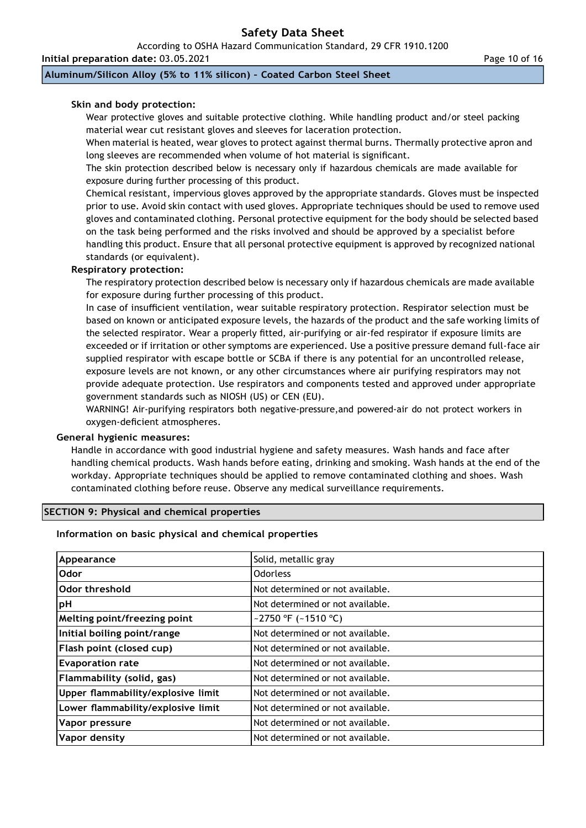According to OSHA Hazard Communication Standard, 29 CFR 1910.1200

**Initial preparation date:** 03.05.2021

**Aluminum/Silicon Alloy (5% to 11% silicon) – Coated Carbon Steel Sheet**

### **Skin and body protection:**

Wear protective gloves and suitable protective clothing. While handling product and/or steel packing material wear cut resistant gloves and sleeves for laceration protection.

When material is heated, wear gloves to protect against thermal burns. Thermally protective apron and long sleeves are recommended when volume of hot material is significant.

The skin protection described below is necessary only if hazardous chemicals are made available for exposure during further processing of this product.

Chemical resistant, impervious gloves approved by the appropriate standards. Gloves must be inspected prior to use. Avoid skin contact with used gloves. Appropriate techniques should be used to remove used gloves and contaminated clothing. Personal protective equipment for the body should be selected based on the task being performed and the risks involved and should be approved by a specialist before handling this product. Ensure that all personal protective equipment is approved by recognized national standards (or equivalent).

#### **Respiratory protection:**

The respiratory protection described below is necessary only if hazardous chemicals are made available for exposure during further processing of this product.

In case of insufficient ventilation, wear suitable respiratory protection. Respirator selection must be based on known or anticipated exposure levels, the hazards of the product and the safe working limits of the selected respirator. Wear a properly fitted, air-purifying or air-fed respirator if exposure limits are exceeded or if irritation or other symptoms are experienced. Use a positive pressure demand full-face air supplied respirator with escape bottle or SCBA if there is any potential for an uncontrolled release, exposure levels are not known, or any other circumstances where air purifying respirators may not provide adequate protection. Use respirators and components tested and approved under appropriate government standards such as NIOSH (US) or CEN (EU).

WARNING! Air-purifying respirators both negative-pressure,and powered-air do not protect workers in oxygen-deficient atmospheres.

#### **General hygienic measures:**

Handle in accordance with good industrial hygiene and safety measures. Wash hands and face after handling chemical products. Wash hands before eating, drinking and smoking. Wash hands at the end of the workday. Appropriate techniques should be applied to remove contaminated clothing and shoes. Wash contaminated clothing before reuse. Observe any medical surveillance requirements.

#### **SECTION 9: Physical and chemical properties**

#### **Information on basic physical and chemical properties**

| Appearance                         | Solid, metallic gray             |
|------------------------------------|----------------------------------|
| Odor                               | <b>Odorless</b>                  |
| Odor threshold                     | Not determined or not available. |
| pH                                 | Not determined or not available. |
| Melting point/freezing point       | ~2750 °F (~1510 °C)              |
| Initial boiling point/range        | Not determined or not available. |
| Flash point (closed cup)           | Not determined or not available. |
| <b>Evaporation rate</b>            | Not determined or not available. |
| Flammability (solid, gas)          | Not determined or not available. |
| Upper flammability/explosive limit | Not determined or not available. |
| Lower flammability/explosive limit | Not determined or not available. |
| Vapor pressure                     | Not determined or not available. |
| Vapor density                      | Not determined or not available. |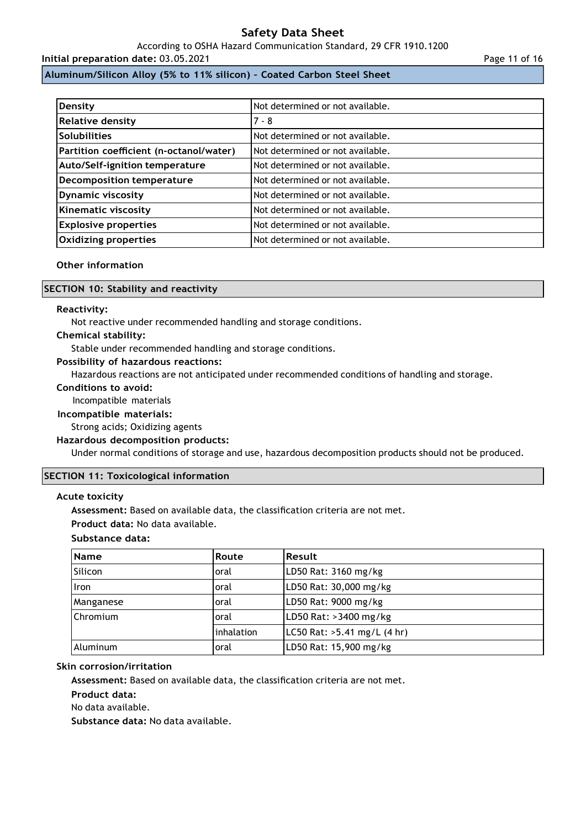According to OSHA Hazard Communication Standard, 29 CFR 1910.1200

### **Initial preparation date:** 03.05.2021

### **Aluminum/Silicon Alloy (5% to 11% silicon) – Coated Carbon Steel Sheet**

| Density                                 | Not determined or not available. |
|-----------------------------------------|----------------------------------|
| <b>Relative density</b>                 | $7 - 8$                          |
| <b>Solubilities</b>                     | Not determined or not available. |
| Partition coefficient (n-octanol/water) | Not determined or not available. |
| Auto/Self-ignition temperature          | Not determined or not available. |
| <b>Decomposition temperature</b>        | Not determined or not available. |
| <b>Dynamic viscosity</b>                | Not determined or not available. |
| <b>Kinematic viscosity</b>              | Not determined or not available. |
| <b>Explosive properties</b>             | Not determined or not available. |
| <b>Oxidizing properties</b>             | Not determined or not available. |

### **Other information**

#### **SECTION 10: Stability and reactivity**

#### **Reactivity:**

Not reactive under recommended handling and storage conditions.

#### **Chemical stability:**

Stable under recommended handling and storage conditions.

#### **Possibility of hazardous reactions:**

Hazardous reactions are not anticipated under recommended conditions of handling and storage.

#### **Conditions to avoid:**

Incompatible materials

#### **Incompatible materials:**

Strong acids; Oxidizing agents

#### **Hazardous decomposition products:**

Under normal conditions of storage and use, hazardous decomposition products should not be produced.

#### **SECTION 11: Toxicological information**

#### **Acute toxicity**

**Assessment:** Based on available data, the classification criteria are not met.

**Product data:** No data available.

### **Substance data:**

| <b>Name</b>     | Route      | Result                        |
|-----------------|------------|-------------------------------|
| Silicon         | oral       | LD50 Rat: 3160 mg/kg          |
| <b>Iron</b>     | oral       | LD50 Rat: 30,000 mg/kg        |
| Manganese       | oral       | LD50 Rat: 9000 mg/kg          |
| <b>Chromium</b> | oral       | LD50 Rat: >3400 mg/kg         |
|                 | inhalation | LC50 Rat: $>5.41$ mg/L (4 hr) |
| Aluminum        | oral       | LD50 Rat: 15,900 mg/kg        |

#### **Skin corrosion/irritation**

**Assessment:** Based on available data, the classification criteria are not met.

**Product data:**

No data available.

**Substance data:** No data available.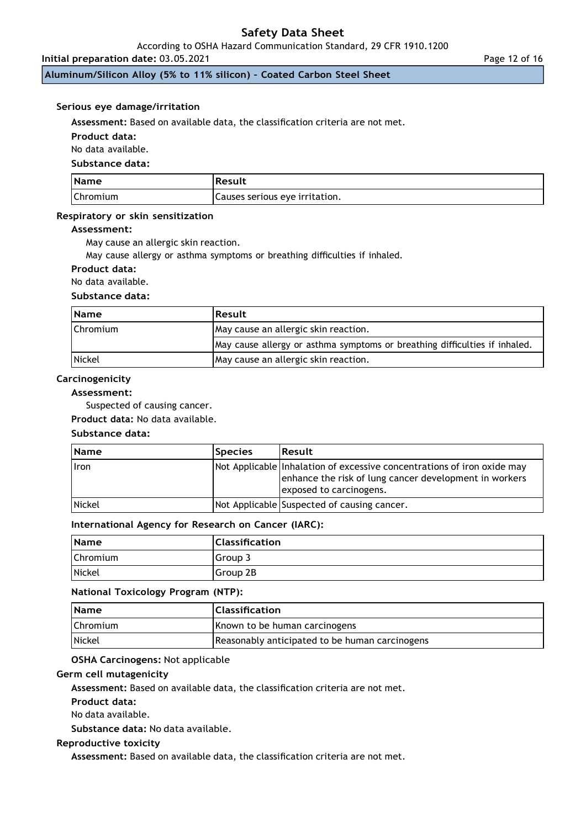According to OSHA Hazard Communication Standard, 29 CFR 1910.1200

**Initial preparation date:** 03.05.2021

**Aluminum/Silicon Alloy (5% to 11% silicon) – Coated Carbon Steel Sheet**

#### **Serious eye damage/irritation**

**Assessment:** Based on available data, the classification criteria are not met.

**Product data:**

No data available.

**Substance data:**

| <b>Name</b>     | Result                         |
|-----------------|--------------------------------|
| <b>Chromium</b> | Causes serious eye irritation. |

#### **Respiratory or skin sensitization**

#### **Assessment:**

May cause an allergic skin reaction.

May cause allergy or asthma symptoms or breathing difficulties if inhaled.

#### **Product data:**

No data available.

## **Substance data:**

| <b>Name</b>     | Result                                                                     |
|-----------------|----------------------------------------------------------------------------|
| <b>Chromium</b> | May cause an allergic skin reaction.                                       |
|                 | May cause allergy or asthma symptoms or breathing difficulties if inhaled. |
| <b>Nickel</b>   | May cause an allergic skin reaction.                                       |

## **Carcinogenicity**

## **Assessment:**

Suspected of causing cancer.

**Product data:** No data available.

### **Substance data:**

| <b>Name</b>   | <b>Species</b> | <b>Result</b>                                                                                                                                                |
|---------------|----------------|--------------------------------------------------------------------------------------------------------------------------------------------------------------|
| <b>I</b> ron  |                | Not Applicable Inhalation of excessive concentrations of iron oxide may<br>enhance the risk of lung cancer development in workers<br>exposed to carcinogens. |
| <b>Nickel</b> |                | Not Applicable Suspected of causing cancer.                                                                                                                  |

#### **International Agency for Research on Cancer (IARC):**

| <b>Name</b>   | <b>Classification</b> |
|---------------|-----------------------|
| Chromium      | Group 3               |
| <b>Nickel</b> | Group 2B              |

#### **National Toxicology Program (NTP):**

| <b>Name</b>     | <b>Classification</b>                          |
|-----------------|------------------------------------------------|
| <b>Chromium</b> | Known to be human carcinogens                  |
| <b>Nickel</b>   | Reasonably anticipated to be human carcinogens |

### **OSHA Carcinogens:** Not applicable

### **Germ cell mutagenicity**

**Assessment:** Based on available data, the classification criteria are not met.

**Product data:**

No data available.

**Substance data:** No data available.

#### **Reproductive toxicity**

**Assessment:** Based on available data, the classification criteria are not met.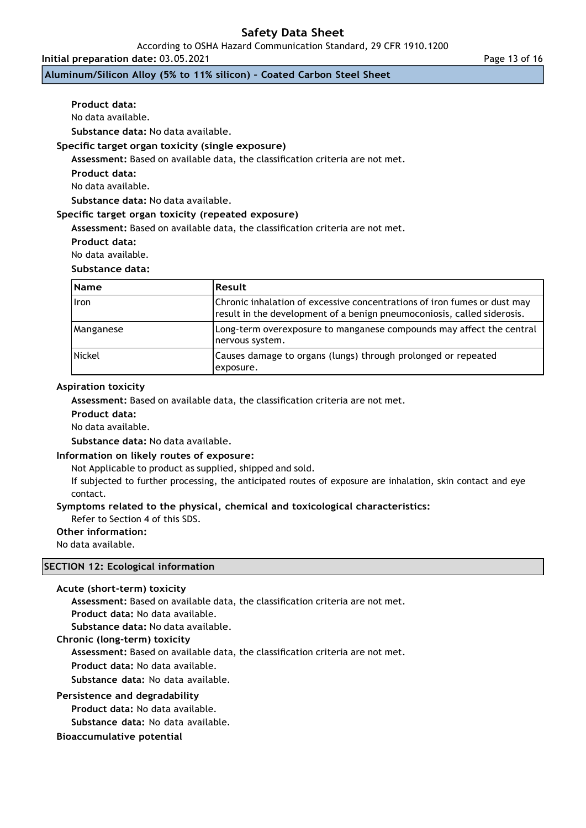According to OSHA Hazard Communication Standard, 29 CFR 1910.1200

**Initial preparation date:** 03.05.2021

**Aluminum/Silicon Alloy (5% to 11% silicon) – Coated Carbon Steel Sheet**

**Product data:**

No data available.

**Substance data:** No data available.

### **Specific target organ toxicity (single exposure)**

**Assessment:** Based on available data, the classification criteria are not met.

**Product data:**

No data available.

**Substance data:** No data available.

#### **Specific target organ toxicity (repeated exposure)**

**Assessment:** Based on available data, the classification criteria are not met.

**Product data:**

No data available.

## **Substance data:**

| <b>Name</b>   | <b>Result</b>                                                                                                                                       |  |
|---------------|-----------------------------------------------------------------------------------------------------------------------------------------------------|--|
| Iron          | Chronic inhalation of excessive concentrations of iron fumes or dust may<br>result in the development of a benign pneumoconiosis, called siderosis. |  |
| Manganese     | Long-term overexposure to manganese compounds may affect the central<br>nervous system.                                                             |  |
| <b>Nickel</b> | Causes damage to organs (lungs) through prolonged or repeated<br>exposure.                                                                          |  |

#### **Aspiration toxicity**

**Assessment:** Based on available data, the classification criteria are not met.

**Product data:**

No data available.

**Substance data:** No data available.

#### **Information on likely routes of exposure:**

Not Applicable to product as supplied, shipped and sold.

If subjected to further processing, the anticipated routes of exposure are inhalation, skin contact and eye contact.

## **Symptoms related to the physical, chemical and toxicological characteristics:**

Refer to Section 4 of this SDS.

**Other information:**

No data available.

## **SECTION 12: Ecological information**

```
Acute (short-term) toxicity
```
**Assessment:** Based on available data, the classification criteria are not met.

**Product data:** No data available.

**Substance data:** No data available.

#### **Chronic (long-term) toxicity**

**Assessment:** Based on available data, the classification criteria are not met.

**Product data:** No data available.

**Substance data:** No data available.

### **Persistence and degradability**

**Product data:** No data available.

**Substance data:** No data available.

#### **Bioaccumulative potential**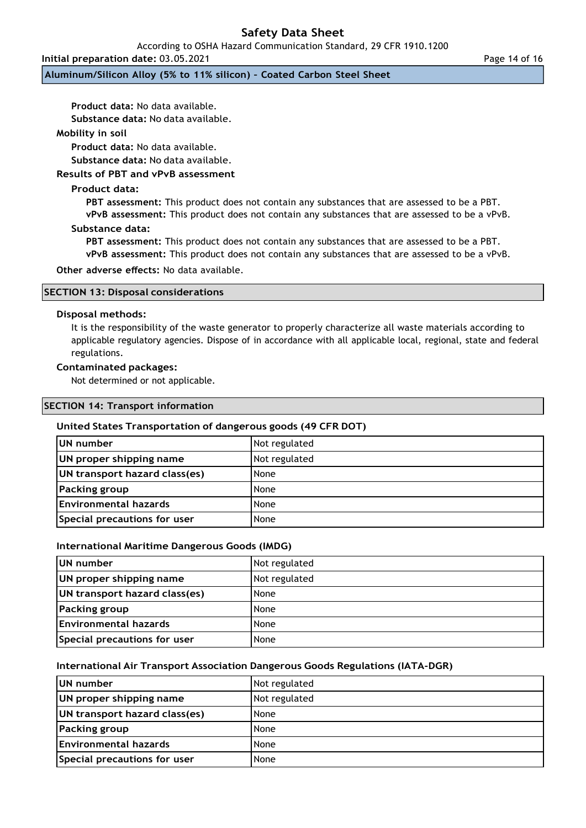According to OSHA Hazard Communication Standard, 29 CFR 1910.1200

**Initial preparation date:** 03.05.2021

**Aluminum/Silicon Alloy (5% to 11% silicon) – Coated Carbon Steel Sheet**

**Product data:** No data available.

**Substance data:** No data available.

## **Mobility in soil**

**Product data:** No data available.

**Substance data:** No data available.

## **Results of PBT and vPvB assessment**

## **Product data:**

**PBT assessment:** This product does not contain any substances that are assessed to be a PBT. **vPvB assessment:** This product does not contain any substances that are assessed to be a vPvB.

#### **Substance data:**

**PBT assessment:** This product does not contain any substances that are assessed to be a PBT. **vPvB assessment:** This product does not contain any substances that are assessed to be a vPvB.

**Other adverse effects:** No data available.

|  |  | <b>SECTION 13: Disposal considerations</b> |
|--|--|--------------------------------------------|
|--|--|--------------------------------------------|

#### **Disposal methods:**

It is the responsibility of the waste generator to properly characterize all waste materials according to applicable regulatory agencies. Dispose of in accordance with all applicable local, regional, state and federal regulations.

#### **Contaminated packages:**

Not determined or not applicable.

|  | <b>SECTION 14: Transport information</b> |
|--|------------------------------------------|
|--|------------------------------------------|

#### **United States Transportation of dangerous goods (49 CFR DOT)**

| UN number                     | Not regulated |
|-------------------------------|---------------|
| UN proper shipping name       | Not regulated |
| UN transport hazard class(es) | None          |
| <b>Packing group</b>          | None          |
| <b>Environmental hazards</b>  | None          |
| Special precautions for user  | None          |

#### **International Maritime Dangerous Goods (IMDG)**

| UN number                     | Not regulated |
|-------------------------------|---------------|
| UN proper shipping name       | Not regulated |
| UN transport hazard class(es) | None          |
| <b>Packing group</b>          | None          |
| Environmental hazards         | None          |
| Special precautions for user  | None          |

#### **International Air Transport Association Dangerous Goods Regulations (IATA-DGR)**

| UN number                     | Not regulated |
|-------------------------------|---------------|
| UN proper shipping name       | Not regulated |
| UN transport hazard class(es) | None          |
| <b>Packing group</b>          | None          |
| <b>Environmental hazards</b>  | None          |
| Special precautions for user  | None          |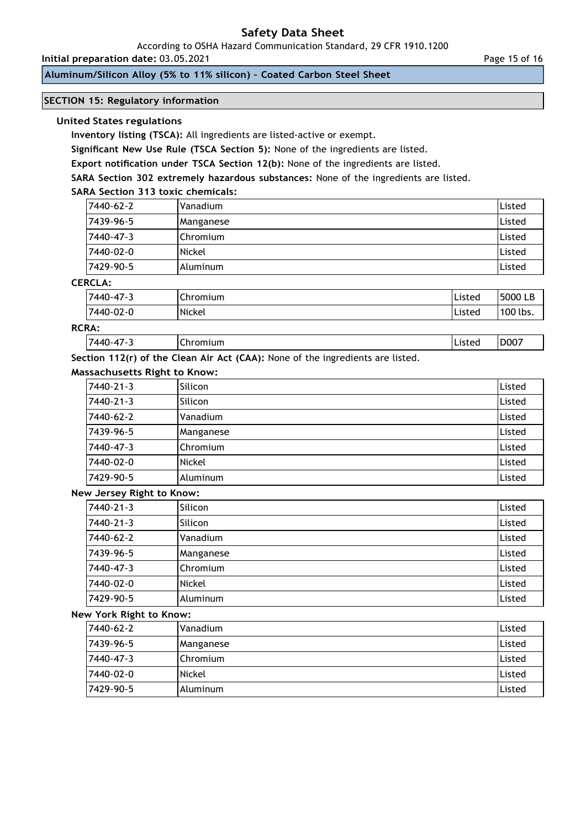According to OSHA Hazard Communication Standard, 29 CFR 1910.1200

**Initial preparation date:** 03.05.2021

**Aluminum/Silicon Alloy (5% to 11% silicon) – Coated Carbon Steel Sheet**

## **SECTION 15: Regulatory information**

### **United States regulations**

**Inventory listing (TSCA):** All ingredients are listed-active or exempt.

**Significant New Use Rule (TSCA Section 5):** None of the ingredients are listed.

**Export notification under TSCA Section 12(b):** None of the ingredients are listed.

**SARA Section 302 extremely hazardous substances:** None of the ingredients are listed.

## **SARA Section 313 toxic chemicals:**

| 17440-62-2 | Vanadium  | Listed        |
|------------|-----------|---------------|
| 7439-96-5  | Manganese | Listed        |
| 17440-47-3 | Chromium  | Listed        |
| 17440-02-0 | Nickel    | Listed        |
| 17429-90-5 | Aluminum  | <b>Listed</b> |

## **CERCLA:**

| 7440-47-3 | Chromium | <u>I Listea</u> | 5000 LB  |
|-----------|----------|-----------------|----------|
| 7440-02-0 | Nickel   | <b>IListeo</b>  | 100 lbs. |
| ___       |          |                 |          |

## **RCRA:**

7440-47-3 Chromium Listed D007

**Section 112(r) of the Clean Air Act (CAA):** None of the ingredients are listed.

## **Massachusetts Right to Know:**

| 7440-21-3 | Silicon   | Listed |
|-----------|-----------|--------|
| 7440-21-3 | Silicon   | Listed |
| 7440-62-2 | Vanadium  | Listed |
| 7439-96-5 | Manganese | Listed |
| 7440-47-3 | Chromium  | Listed |
| 7440-02-0 | Nickel    | Listed |
| 7429-90-5 | Aluminum  | Listed |

#### **New Jersey Right to Know:**

| 7440-21-3 | Silicon   | Listed        |
|-----------|-----------|---------------|
| 7440-21-3 | Silicon   | Listed        |
| 7440-62-2 | Vanadium  | Listed        |
| 7439-96-5 | Manganese | Listed        |
| 7440-47-3 | Chromium  | Listed        |
| 7440-02-0 | Nickel    | Listed        |
| 7429-90-5 | Aluminum  | <b>Listed</b> |

#### **New York Right to Know:**

| 7440-62-2 | Vanadium   | Listed |
|-----------|------------|--------|
| 7439-96-5 | Manganese  | Listed |
| 7440-47-3 | l Chromium | Listed |
| 7440-02-0 | Nickel     | Listed |
| 7429-90-5 | I Aluminum | Listed |

Page 15 of 16